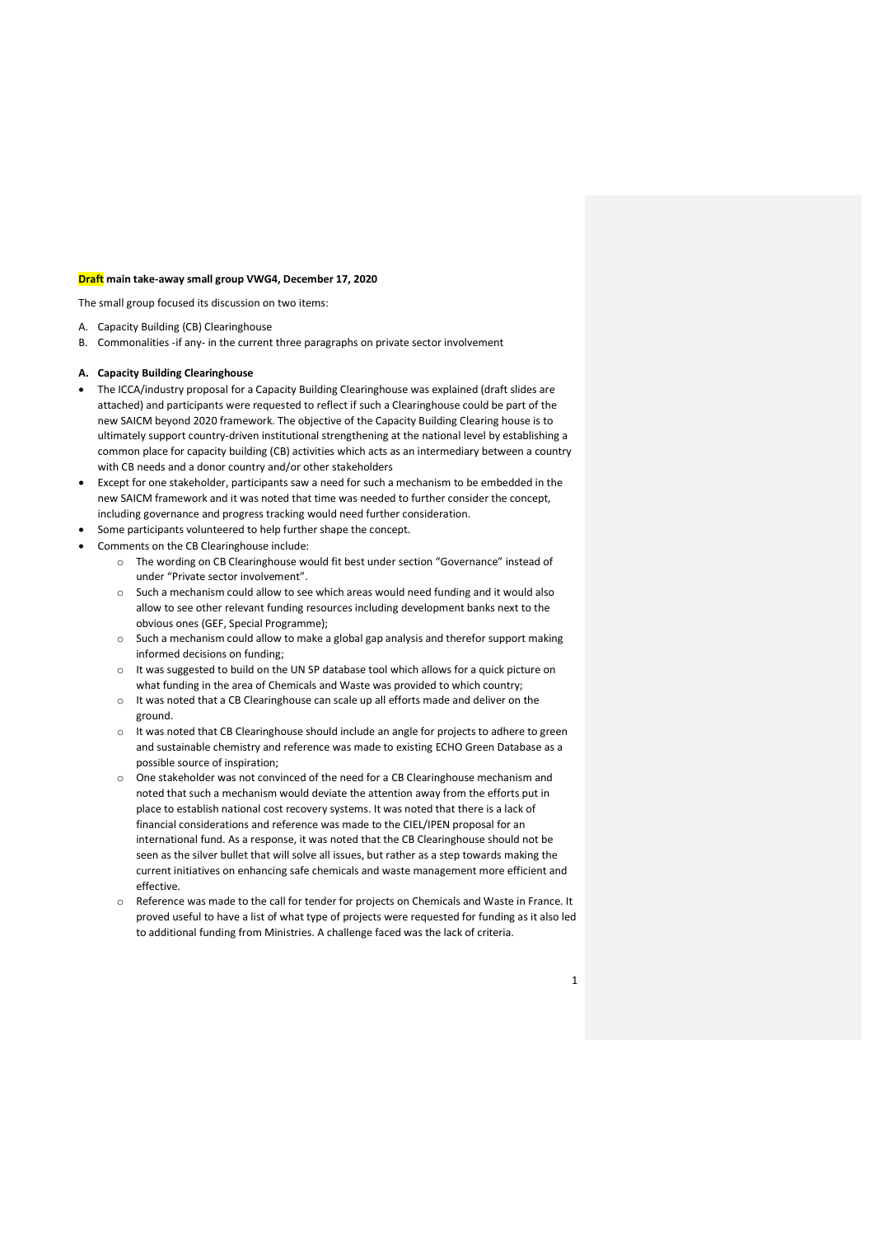## Draft main take-away small group VWG4, December 17, 2020

The small group focused its discussion on two items:

- A. Capacity Building (CB) Clearinghouse
- B. Commonalities -if any- in the current three paragraphs on private sector involvement

## A. Capacity Building Clearinghouse

- The ICCA/industry proposal for a Capacity Building Clearinghouse was explained (draft slides are attached) and participants were requested to reflect if such a Clearinghouse could be part of the new SAICM beyond 2020 framework. The objective of the Capacity Building Clearing house is to ultimately support country-driven institutional strengthening at the national level by establishing a common place for capacity building (CB) activities which acts as an intermediary between a country with CB needs and a donor country and/or other stakeholders
- Except for one stakeholder, participants saw a need for such a mechanism to be embedded in the new SAICM framework and it was noted that time was needed to further consider the concept, including governance and progress tracking would need further consideration.
- Some participants volunteered to help further shape the concept.
- Comments on the CB Clearinghouse include:
	- o The wording on CB Clearinghouse would fit best under section "Governance" instead of under "Private sector involvement".
	- o Such a mechanism could allow to see which areas would need funding and it would also allow to see other relevant funding resources including development banks next to the obvious ones (GEF, Special Programme);
	- $\circ$  Such a mechanism could allow to make a global gap analysis and therefor support making informed decisions on funding;
	- o It was suggested to build on the UN SP database tool which allows for a quick picture on what funding in the area of Chemicals and Waste was provided to which country;
	- o It was noted that a CB Clearinghouse can scale up all efforts made and deliver on the ground.
	- o It was noted that CB Clearinghouse should include an angle for projects to adhere to green and sustainable chemistry and reference was made to existing ECHO Green Database as a possible source of inspiration;
	- o One stakeholder was not convinced of the need for a CB Clearinghouse mechanism and noted that such a mechanism would deviate the attention away from the efforts put in place to establish national cost recovery systems. It was noted that there is a lack of financial considerations and reference was made to the CIEL/IPEN proposal for an international fund. As a response, it was noted that the CB Clearinghouse should not be seen as the silver bullet that will solve all issues, but rather as a step towards making the current initiatives on enhancing safe chemicals and waste management more efficient and effective.
	- o Reference was made to the call for tender for projects on Chemicals and Waste in France. It proved useful to have a list of what type of projects were requested for funding as it also led to additional funding from Ministries. A challenge faced was the lack of criteria.
		- 1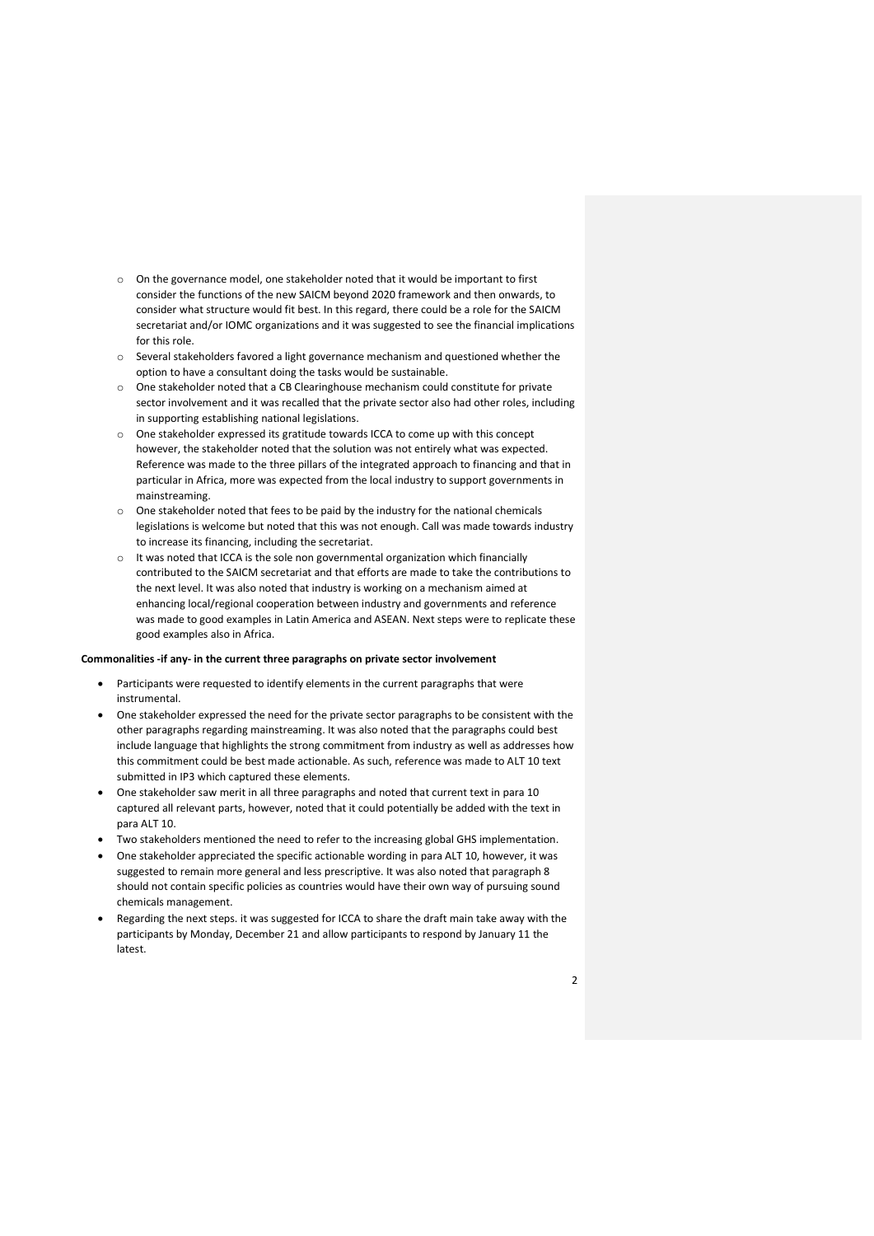- o On the governance model, one stakeholder noted that it would be important to first consider the functions of the new SAICM beyond 2020 framework and then onwards, to consider what structure would fit best. In this regard, there could be a role for the SAICM secretariat and/or IOMC organizations and it was suggested to see the financial implications for this role.
- o Several stakeholders favored a light governance mechanism and questioned whether the option to have a consultant doing the tasks would be sustainable.
- o One stakeholder noted that a CB Clearinghouse mechanism could constitute for private sector involvement and it was recalled that the private sector also had other roles, including in supporting establishing national legislations.
- o One stakeholder expressed its gratitude towards ICCA to come up with this concept however, the stakeholder noted that the solution was not entirely what was expected. Reference was made to the three pillars of the integrated approach to financing and that in particular in Africa, more was expected from the local industry to support governments in mainstreaming.
- o One stakeholder noted that fees to be paid by the industry for the national chemicals legislations is welcome but noted that this was not enough. Call was made towards industry to increase its financing, including the secretariat.
- o It was noted that ICCA is the sole non governmental organization which financially contributed to the SAICM secretariat and that efforts are made to take the contributions to the next level. It was also noted that industry is working on a mechanism aimed at enhancing local/regional cooperation between industry and governments and reference was made to good examples in Latin America and ASEAN. Next steps were to replicate these good examples also in Africa.

## Commonalities -if any- in the current three paragraphs on private sector involvement

- Participants were requested to identify elements in the current paragraphs that were instrumental.
- One stakeholder expressed the need for the private sector paragraphs to be consistent with the other paragraphs regarding mainstreaming. It was also noted that the paragraphs could best include language that highlights the strong commitment from industry as well as addresses how this commitment could be best made actionable. As such, reference was made to ALT 10 text submitted in IP3 which captured these elements.
- One stakeholder saw merit in all three paragraphs and noted that current text in para 10 captured all relevant parts, however, noted that it could potentially be added with the text in para ALT 10.
- Two stakeholders mentioned the need to refer to the increasing global GHS implementation.
- One stakeholder appreciated the specific actionable wording in para ALT 10, however, it was suggested to remain more general and less prescriptive. It was also noted that paragraph 8 should not contain specific policies as countries would have their own way of pursuing sound chemicals management.
- Regarding the next steps. it was suggested for ICCA to share the draft main take away with the participants by Monday, December 21 and allow participants to respond by January 11 the latest.

2